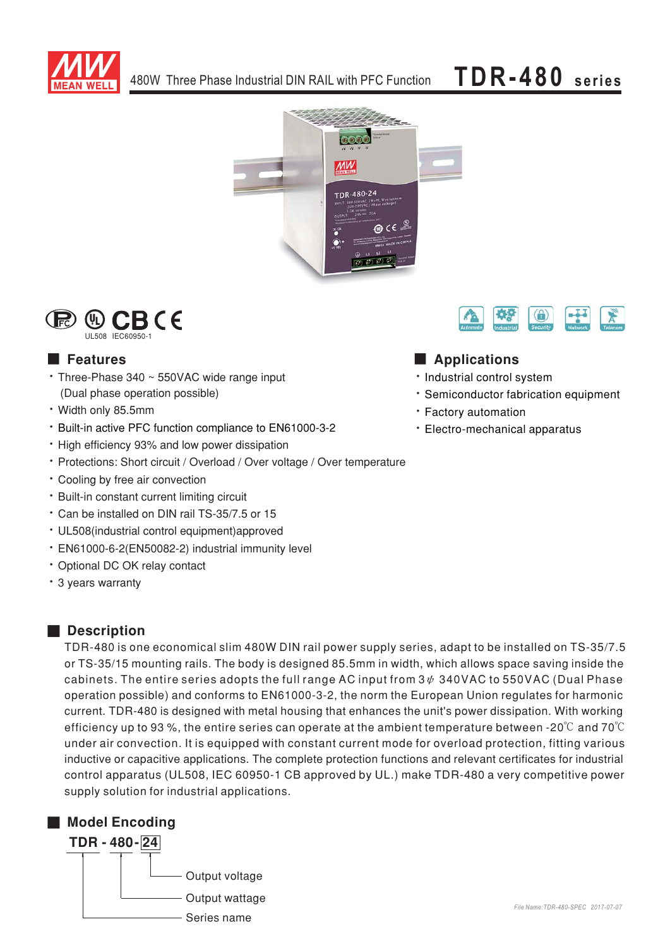

# TDR-480 series





### **Features**

- Three-Phase 340 ~ 550VAC wide range input (Dual phase operation possible)
- · Width only 85.5mm
- \* Built-in active PFC function compliance to EN61000-3-2
- High efficiency 93% and low power dissipation
- Protections: Short circuit / Overload / Over voltage / Over temperature
- Cooling by free air convection
- \* Built-in constant current limiting circuit
- Can be installed on DIN rail TS-35/7.5 or 15
- UL508(industrial control equipment)approved
- · EN61000-6-2(EN50082-2) industrial immunity level
- · Optional DC OK relay contact
- \* 3 years warranty

# **Description**

TDR-480 is one economical slim 480W DIN rail power supply series, adapt to be installed on TS-35/7.5 or TS-35/15 mounting rails. The body is designed 85.5mm in width, which allows space saving inside the cabinets. The entire series adopts the full range AC input from  $3\psi$  340VAC to 550VAC (Dual Phase operation possible) and conforms to EN61000-3-2, the norm the European Union regulates for harmonic current. TDR-480 is designed with metal housing that enhances the unit's power dissipation. With working efficiency up to 93 %, the entire series can operate at the ambient temperature between -20 $\degree$ C and 70 $\degree$ C under air convection. It is equipped with constant current mode for overload protection, fitting various inductive or capacitive applications. The complete protection functions and relevant certificates for industrial control apparatus (UL508, IEC 60950-1 CB approved by UL.) make TDR-480 a very competitive power supply solution for industrial applications.





# Applications

- · Industrial control system
- \* Semiconductor fabrication equipment
- · Factory automation
- Electro-mechanical apparatus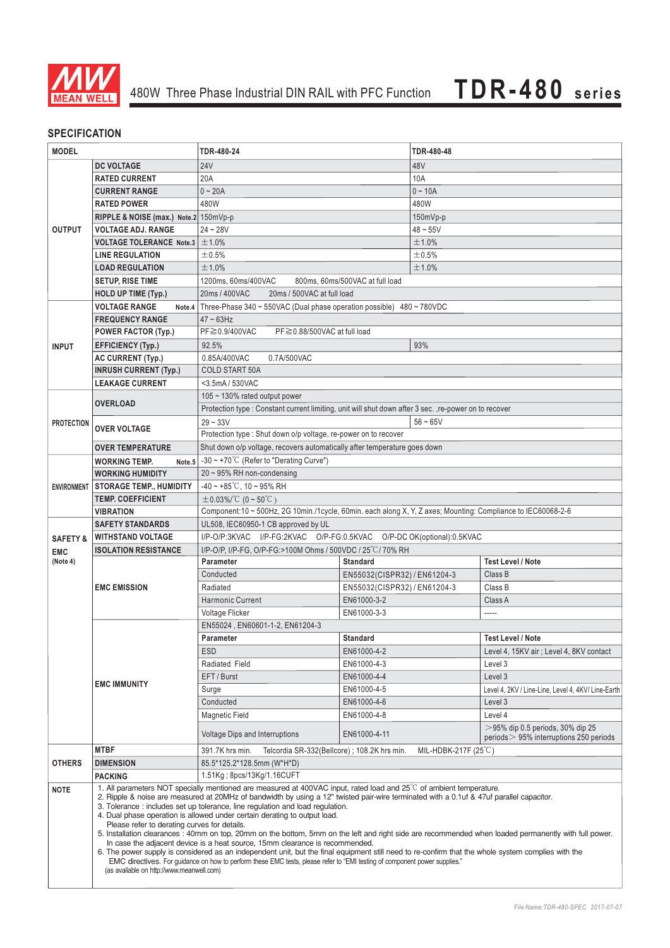

### **SPECIFICATION**

| <b>MODEL</b>           |                                                                                                                                                                                                                                                                                                                                                                                                                                                                                                                                                                                                                                                                                                                                                                                                                                                                                                                                                                                                                                                                  | <b>TDR-480-24</b>                                                                                                                  |                              | <b>TDR-480-48</b> |                                                    |
|------------------------|------------------------------------------------------------------------------------------------------------------------------------------------------------------------------------------------------------------------------------------------------------------------------------------------------------------------------------------------------------------------------------------------------------------------------------------------------------------------------------------------------------------------------------------------------------------------------------------------------------------------------------------------------------------------------------------------------------------------------------------------------------------------------------------------------------------------------------------------------------------------------------------------------------------------------------------------------------------------------------------------------------------------------------------------------------------|------------------------------------------------------------------------------------------------------------------------------------|------------------------------|-------------------|----------------------------------------------------|
| <b>DC VOLTAGE</b>      |                                                                                                                                                                                                                                                                                                                                                                                                                                                                                                                                                                                                                                                                                                                                                                                                                                                                                                                                                                                                                                                                  | <b>24V</b>                                                                                                                         |                              | 48V               |                                                    |
| <b>OUTPUT</b>          | <b>RATED CURRENT</b>                                                                                                                                                                                                                                                                                                                                                                                                                                                                                                                                                                                                                                                                                                                                                                                                                                                                                                                                                                                                                                             | 20A                                                                                                                                |                              | 10A               |                                                    |
|                        | <b>CURRENT RANGE</b>                                                                                                                                                                                                                                                                                                                                                                                                                                                                                                                                                                                                                                                                                                                                                                                                                                                                                                                                                                                                                                             | $0 - 20A$                                                                                                                          |                              | $0 - 10A$         |                                                    |
|                        | <b>RATED POWER</b>                                                                                                                                                                                                                                                                                                                                                                                                                                                                                                                                                                                                                                                                                                                                                                                                                                                                                                                                                                                                                                               | 480W                                                                                                                               |                              | 480W              |                                                    |
|                        | RIPPLE & NOISE (max.) Note.2 150mVp-p                                                                                                                                                                                                                                                                                                                                                                                                                                                                                                                                                                                                                                                                                                                                                                                                                                                                                                                                                                                                                            |                                                                                                                                    |                              | 150mVp-p          |                                                    |
|                        | <b>VOLTAGE ADJ. RANGE</b>                                                                                                                                                                                                                                                                                                                                                                                                                                                                                                                                                                                                                                                                                                                                                                                                                                                                                                                                                                                                                                        | $24 - 28V$                                                                                                                         |                              | $48 - 55V$        |                                                    |
|                        | <b>VOLTAGE TOLERANCE Note.3</b> $\pm$ 1.0%                                                                                                                                                                                                                                                                                                                                                                                                                                                                                                                                                                                                                                                                                                                                                                                                                                                                                                                                                                                                                       |                                                                                                                                    |                              | ±1.0%             |                                                    |
|                        | <b>LINE REGULATION</b>                                                                                                                                                                                                                                                                                                                                                                                                                                                                                                                                                                                                                                                                                                                                                                                                                                                                                                                                                                                                                                           | ±0.5%                                                                                                                              |                              | ±0.5%             |                                                    |
|                        | <b>LOAD REGULATION</b>                                                                                                                                                                                                                                                                                                                                                                                                                                                                                                                                                                                                                                                                                                                                                                                                                                                                                                                                                                                                                                           | ±1.0%                                                                                                                              |                              | ±1.0%             |                                                    |
|                        | <b>SETUP, RISE TIME</b>                                                                                                                                                                                                                                                                                                                                                                                                                                                                                                                                                                                                                                                                                                                                                                                                                                                                                                                                                                                                                                          | 1200ms, 60ms/400VAC<br>800ms, 60ms/500VAC at full load                                                                             |                              |                   |                                                    |
|                        | <b>HOLD UP TIME (Typ.)</b>                                                                                                                                                                                                                                                                                                                                                                                                                                                                                                                                                                                                                                                                                                                                                                                                                                                                                                                                                                                                                                       | 20ms / 400VAC<br>20ms / 500VAC at full load                                                                                        |                              |                   |                                                    |
|                        | <b>VOLTAGE RANGE</b>                                                                                                                                                                                                                                                                                                                                                                                                                                                                                                                                                                                                                                                                                                                                                                                                                                                                                                                                                                                                                                             | Note.4 Three-Phase 340 ~ 550VAC (Dual phase operation possible) 480 ~ 780VDC                                                       |                              |                   |                                                    |
| <b>INPUT</b>           | <b>FREQUENCY RANGE</b>                                                                                                                                                                                                                                                                                                                                                                                                                                                                                                                                                                                                                                                                                                                                                                                                                                                                                                                                                                                                                                           | $47 \sim 63$ Hz                                                                                                                    |                              |                   |                                                    |
|                        | <b>POWER FACTOR (Typ.)</b>                                                                                                                                                                                                                                                                                                                                                                                                                                                                                                                                                                                                                                                                                                                                                                                                                                                                                                                                                                                                                                       | PF≧0.88/500VAC at full load<br>$PF \ge 0.9/400$ VAC                                                                                |                              |                   |                                                    |
|                        | <b>EFFICIENCY (Typ.)</b>                                                                                                                                                                                                                                                                                                                                                                                                                                                                                                                                                                                                                                                                                                                                                                                                                                                                                                                                                                                                                                         | 92.5%<br>93%                                                                                                                       |                              |                   |                                                    |
|                        | <b>AC CURRENT (Typ.)</b>                                                                                                                                                                                                                                                                                                                                                                                                                                                                                                                                                                                                                                                                                                                                                                                                                                                                                                                                                                                                                                         | 0.85A/400VAC<br>0.7A/500VAC                                                                                                        |                              |                   |                                                    |
|                        | <b>INRUSH CURRENT (Typ.)</b>                                                                                                                                                                                                                                                                                                                                                                                                                                                                                                                                                                                                                                                                                                                                                                                                                                                                                                                                                                                                                                     | <b>COLD START 50A</b>                                                                                                              |                              |                   |                                                    |
|                        | <b>LEAKAGE CURRENT</b>                                                                                                                                                                                                                                                                                                                                                                                                                                                                                                                                                                                                                                                                                                                                                                                                                                                                                                                                                                                                                                           | <3.5mA / 530VAC                                                                                                                    |                              |                   |                                                    |
|                        |                                                                                                                                                                                                                                                                                                                                                                                                                                                                                                                                                                                                                                                                                                                                                                                                                                                                                                                                                                                                                                                                  | $105 \sim 130\%$ rated output power                                                                                                |                              |                   |                                                    |
| <b>PROTECTION</b>      | <b>OVERLOAD</b>                                                                                                                                                                                                                                                                                                                                                                                                                                                                                                                                                                                                                                                                                                                                                                                                                                                                                                                                                                                                                                                  | Protection type : Constant current limiting, unit will shut down after 3 sec. , re-power on to recover                             |                              |                   |                                                    |
|                        |                                                                                                                                                                                                                                                                                                                                                                                                                                                                                                                                                                                                                                                                                                                                                                                                                                                                                                                                                                                                                                                                  | $29 - 33V$<br>$56 - 65V$                                                                                                           |                              |                   |                                                    |
|                        | <b>OVER VOLTAGE</b>                                                                                                                                                                                                                                                                                                                                                                                                                                                                                                                                                                                                                                                                                                                                                                                                                                                                                                                                                                                                                                              | Protection type : Shut down o/p voltage, re-power on to recover                                                                    |                              |                   |                                                    |
|                        |                                                                                                                                                                                                                                                                                                                                                                                                                                                                                                                                                                                                                                                                                                                                                                                                                                                                                                                                                                                                                                                                  |                                                                                                                                    |                              |                   |                                                    |
|                        | <b>OVER TEMPERATURE</b>                                                                                                                                                                                                                                                                                                                                                                                                                                                                                                                                                                                                                                                                                                                                                                                                                                                                                                                                                                                                                                          | Shut down o/p voltage, recovers automatically after temperature goes down<br>Note.5 $\sim$ -30 ~ +70°C (Refer to "Derating Curve") |                              |                   |                                                    |
|                        | <b>WORKING TEMP.</b>                                                                                                                                                                                                                                                                                                                                                                                                                                                                                                                                                                                                                                                                                                                                                                                                                                                                                                                                                                                                                                             |                                                                                                                                    |                              |                   |                                                    |
|                        | <b>WORKING HUMIDITY</b>                                                                                                                                                                                                                                                                                                                                                                                                                                                                                                                                                                                                                                                                                                                                                                                                                                                                                                                                                                                                                                          | $20 \sim 95\%$ RH non-condensing<br>$-40 \sim +85^{\circ}$ C, 10 ~ 95% RH                                                          |                              |                   |                                                    |
| <b>ENVIRONMENT</b>     | <b>STORAGE TEMP., HUMIDITY</b>                                                                                                                                                                                                                                                                                                                                                                                                                                                                                                                                                                                                                                                                                                                                                                                                                                                                                                                                                                                                                                   |                                                                                                                                    |                              |                   |                                                    |
|                        | <b>TEMP. COEFFICIENT</b>                                                                                                                                                                                                                                                                                                                                                                                                                                                                                                                                                                                                                                                                                                                                                                                                                                                                                                                                                                                                                                         | $\pm 0.03\%$ /°C (0 ~ 50°C)                                                                                                        |                              |                   |                                                    |
|                        | <b>VIBRATION</b>                                                                                                                                                                                                                                                                                                                                                                                                                                                                                                                                                                                                                                                                                                                                                                                                                                                                                                                                                                                                                                                 | Component:10 ~ 500Hz, 2G 10min./1cycle, 60min. each along X, Y, Z axes; Mounting: Compliance to IEC60068-2-6                       |                              |                   |                                                    |
|                        | <b>SAFETY STANDARDS</b>                                                                                                                                                                                                                                                                                                                                                                                                                                                                                                                                                                                                                                                                                                                                                                                                                                                                                                                                                                                                                                          | UL508, IEC60950-1 CB approved by UL                                                                                                |                              |                   |                                                    |
| <b>SAFETY &amp;</b>    | <b>WITHSTAND VOLTAGE</b>                                                                                                                                                                                                                                                                                                                                                                                                                                                                                                                                                                                                                                                                                                                                                                                                                                                                                                                                                                                                                                         | I/P-O/P:3KVAC I/P-FG:2KVAC O/P-FG:0.5KVAC O/P-DC OK(optional):0.5KVAC                                                              |                              |                   |                                                    |
| <b>EMC</b><br>(Note 4) | <b>ISOLATION RESISTANCE</b>                                                                                                                                                                                                                                                                                                                                                                                                                                                                                                                                                                                                                                                                                                                                                                                                                                                                                                                                                                                                                                      | I/P-O/P, I/P-FG, O/P-FG:>100M Ohms / 500VDC / 25°C/ 70% RH<br><b>Parameter</b><br><b>Standard</b><br><b>Test Level / Note</b>      |                              |                   |                                                    |
|                        | <b>EMC EMISSION</b>                                                                                                                                                                                                                                                                                                                                                                                                                                                                                                                                                                                                                                                                                                                                                                                                                                                                                                                                                                                                                                              | Conducted                                                                                                                          | EN55032(CISPR32) / EN61204-3 |                   | Class B                                            |
|                        |                                                                                                                                                                                                                                                                                                                                                                                                                                                                                                                                                                                                                                                                                                                                                                                                                                                                                                                                                                                                                                                                  | Radiated                                                                                                                           | EN55032(CISPR32) / EN61204-3 |                   | Class B                                            |
|                        |                                                                                                                                                                                                                                                                                                                                                                                                                                                                                                                                                                                                                                                                                                                                                                                                                                                                                                                                                                                                                                                                  | Harmonic Current                                                                                                                   | EN61000-3-2                  |                   | Class A                                            |
|                        |                                                                                                                                                                                                                                                                                                                                                                                                                                                                                                                                                                                                                                                                                                                                                                                                                                                                                                                                                                                                                                                                  | Voltage Flicker                                                                                                                    | EN61000-3-3                  |                   | -----                                              |
|                        |                                                                                                                                                                                                                                                                                                                                                                                                                                                                                                                                                                                                                                                                                                                                                                                                                                                                                                                                                                                                                                                                  | EN55024, EN60601-1-2, EN61204-3                                                                                                    |                              |                   |                                                    |
|                        | <b>EMC IMMUNITY</b>                                                                                                                                                                                                                                                                                                                                                                                                                                                                                                                                                                                                                                                                                                                                                                                                                                                                                                                                                                                                                                              | Parameter                                                                                                                          | <b>Standard</b>              |                   | <b>Test Level / Note</b>                           |
|                        |                                                                                                                                                                                                                                                                                                                                                                                                                                                                                                                                                                                                                                                                                                                                                                                                                                                                                                                                                                                                                                                                  | <b>ESD</b>                                                                                                                         | EN61000-4-2                  |                   | Level 4, 15KV air; Level 4, 8KV contact            |
|                        |                                                                                                                                                                                                                                                                                                                                                                                                                                                                                                                                                                                                                                                                                                                                                                                                                                                                                                                                                                                                                                                                  | Radiated Field                                                                                                                     | EN61000-4-3                  |                   | Level 3                                            |
|                        |                                                                                                                                                                                                                                                                                                                                                                                                                                                                                                                                                                                                                                                                                                                                                                                                                                                                                                                                                                                                                                                                  | EFT / Burst                                                                                                                        | EN61000-4-4                  |                   | Level 3                                            |
|                        |                                                                                                                                                                                                                                                                                                                                                                                                                                                                                                                                                                                                                                                                                                                                                                                                                                                                                                                                                                                                                                                                  | Surge                                                                                                                              | EN61000-4-5                  |                   | Level 4, 2KV / Line-Line, Level 4, 4KV/ Line-Earth |
|                        |                                                                                                                                                                                                                                                                                                                                                                                                                                                                                                                                                                                                                                                                                                                                                                                                                                                                                                                                                                                                                                                                  | Conducted                                                                                                                          | EN61000-4-6                  |                   | Level 3                                            |
|                        |                                                                                                                                                                                                                                                                                                                                                                                                                                                                                                                                                                                                                                                                                                                                                                                                                                                                                                                                                                                                                                                                  | Magnetic Field                                                                                                                     | EN61000-4-8                  |                   | Level 4                                            |
|                        |                                                                                                                                                                                                                                                                                                                                                                                                                                                                                                                                                                                                                                                                                                                                                                                                                                                                                                                                                                                                                                                                  |                                                                                                                                    |                              |                   | $>$ 95% dip 0.5 periods, 30% dip 25                |
|                        |                                                                                                                                                                                                                                                                                                                                                                                                                                                                                                                                                                                                                                                                                                                                                                                                                                                                                                                                                                                                                                                                  | Voltage Dips and Interruptions                                                                                                     | EN61000-4-11                 |                   | $periods$ > 95% interruptions 250 periods          |
|                        | <b>MTBF</b>                                                                                                                                                                                                                                                                                                                                                                                                                                                                                                                                                                                                                                                                                                                                                                                                                                                                                                                                                                                                                                                      | 391.7K hrs min.<br>Telcordia SR-332(Bellcore) ; 108.2K hrs min.<br>MIL-HDBK-217F $(25^{\circ}C)$                                   |                              |                   |                                                    |
| <b>OTHERS</b>          | <b>DIMENSION</b>                                                                                                                                                                                                                                                                                                                                                                                                                                                                                                                                                                                                                                                                                                                                                                                                                                                                                                                                                                                                                                                 | 85.5*125.2*128.5mm (W*H*D)                                                                                                         |                              |                   |                                                    |
|                        | <b>PACKING</b>                                                                                                                                                                                                                                                                                                                                                                                                                                                                                                                                                                                                                                                                                                                                                                                                                                                                                                                                                                                                                                                   | 1.51Kg: 8pcs/13Kg/1.16CUFT                                                                                                         |                              |                   |                                                    |
| <b>NOTE</b>            | 1. All parameters NOT specially mentioned are measured at 400VAC input, rated load and $25^{\circ}$ C of ambient temperature.<br>2. Ripple & noise are measured at 20MHz of bandwidth by using a 12" twisted pair-wire terminated with a 0.1uf & 47uf parallel capacitor.<br>3. Tolerance: includes set up tolerance, line regulation and load regulation.<br>4. Dual phase operation is allowed under certain derating to output load.<br>Please refer to derating curves for details.<br>5. Installation clearances: 40mm on top, 20mm on the bottom, 5mm on the left and right side are recommended when loaded permanently with full power.<br>In case the adjacent device is a heat source, 15mm clearance is recommended.<br>6. The power supply is considered as an independent unit, but the final equipment still need to re-confirm that the whole system complies with the<br>EMC directives. For guidance on how to perform these EMC tests, please refer to "EMI testing of component power supplies."<br>(as available on http://www.meanwell.com) |                                                                                                                                    |                              |                   |                                                    |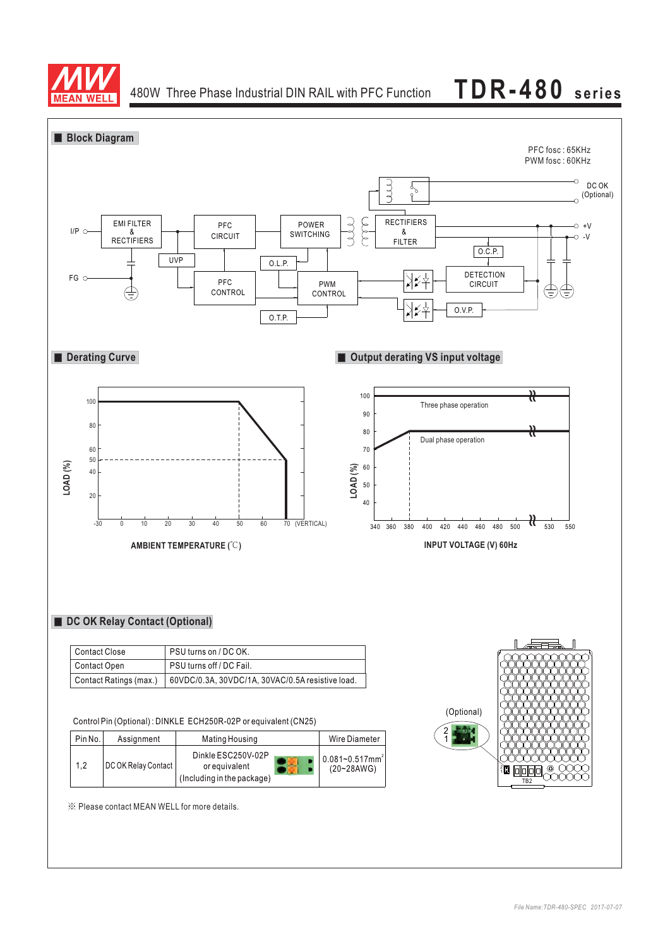

480W Three Phase Industrial DIN RAIL with PFC Function **TDR-480 series**